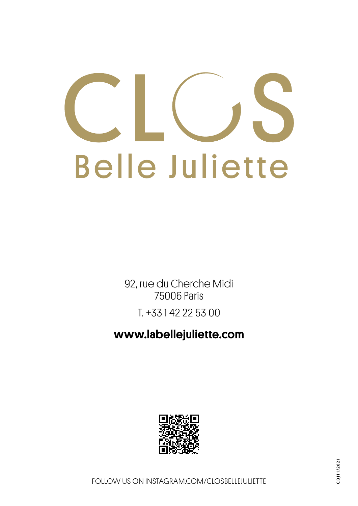# **Belle Juliette**

92, rue du Cherche Midi 75006 Paris T. +33 1 42 22 53 00

www.labellejuliette.com

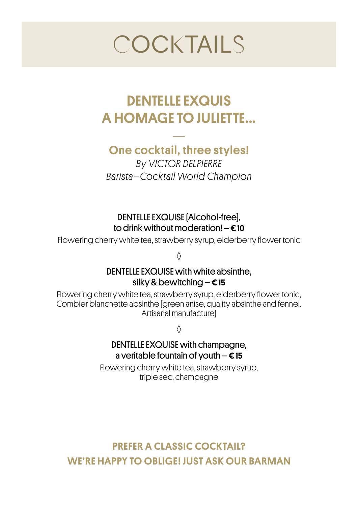# **COCKTAILS**

# DENTELLE EXQUIS A HOMAGE TO JULIETTE...

### — One cocktail, three styles!

*By VICTOR DELPIERRE Barista–Cocktail World Champion* 

### DENTELLE EXQUISE (Alcohol-free), to drink without moderation!  $- \epsilon$  10

Flowering cherry white tea, strawberry syrup, elderberry flower tonic

◊

### DENTELLE EXQUISE with white absinthe, silky & bewitching  $-\epsilon$  15

Flowering cherry white tea, strawberry syrup, elderberry flower tonic, Combier blanchette absinthe (green anise, quality absinthe and fennel. Artisanal manufacture)

◊

### DENTELLE EXQUISE with champagne, a veritable fountain of youth  $- \epsilon$  15

Flowering cherry white tea, strawberry syrup, triple sec, champagne

PREFER A CLASSIC COCKTAIL? WE'RE HAPPY TO OBLIGE ! JUST ASK OUR BARMAN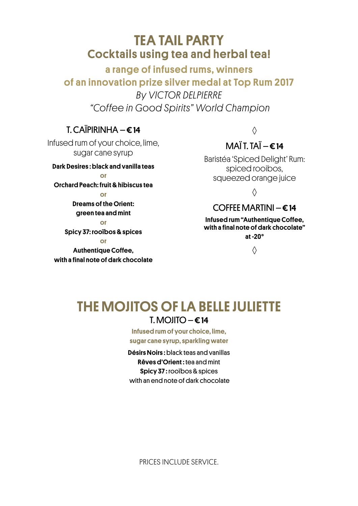### TEA TAIL PARTY  Cocktails using tea and herbal tea!

a range of infused rums, winners of an innovation prize silver medal at Top Rum 2017 *By VICTOR DELPIERRE "Coffee in Good Spirits" World Champion* 

### $T$  CAÏPIRINHA –  $\epsilon$  14

Infused rum of your choice, lime, sugar cane syrup

Dark Desires : black and vanilla teas

### or Orchard Peach: fruit & hibiscus tea

or

Dreams of the Orient: green tea and mint

or Spicy 37: rooïbos & spices

or

Authentique Coffee. with a final note of dark chocolate

### ◊

### $MA^T$ T TAÏ $6$  14

Baristéa 'Spiced Delight' Rum: spiced rooibos, squeezed orange juice

◊

### COFFEE MARTINI –  $\epsilon$  14

Infused rum "Authentique Coffee, with a final note of dark chocolate" at -20°

◊

### THE MOJITOS OF LA BELLE JULIETTE  $I. M$ OIITO –  $\epsilon$ 14

Infused rum of your choice, lime, sugar cane syrup, sparkling water

Désirs Noirs : black teas and vanillas Rêves d'Orient : tea and mint Spicy 37 : rooïbos & spices with an end note of dark chocolate

PRICES INCLUDE SERVICE.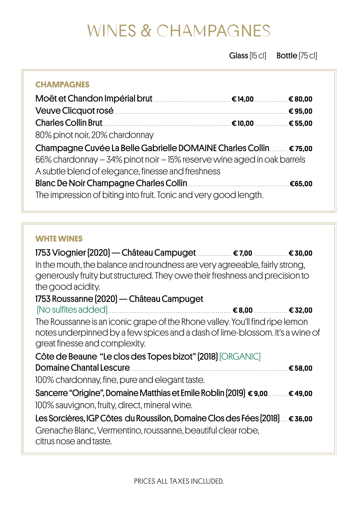# WINES & CHAMPAGNES

Glass [15 cl] Bottle [75 cl]

### **CHAMPAGNES**

| 80% pinot noir, 20% chardonnay                                         |  |
|------------------------------------------------------------------------|--|
| Champagne Cuvée La Belle Gabrielle DOMAINE Charles Collin  € 75,00     |  |
| 66% chardonnay - 34% pinot noir - 15% reserve wine aged in oak barrels |  |
| A subtle blend of elegance, finesse and freshness                      |  |
|                                                                        |  |
| The impression of biting into fruit. Tonic and very good length.       |  |

### **WHTE WINES**

1753 Viognier (2020) — Château Campuget ................. € 7,00 ................. € 30,00 In the mouth, the balance and roundness are very agreeable, fairly strong, generously fruity but structured. They owe their freshness and precision to the good acidity. 1753 Roussanne (2020) — Château Campuget (No sulfites added)................................................................ € 8,00 ................. € 32,00 The Roussanne is an iconic grape of the Rhone valley. You'll find ripe lemon notes underpinned by a few spices and a dash of lime-blossom. It's a wine of great finesse and complexity. Côte de Beaune "Le clos des Topes bizot" (2018) (ORGANIC) Domaine Chantal Lescure ................................................................................. € 58,00 100% chardonnay, fine, pure and elegant taste. Sancerre "Origine", Domaine Matthias et Emile Roblin (2019) € 9,00.......... € 49,00 100% sauvignon, fruity, direct, mineral wine. Les Sorcières, IGP Côtes du Roussilon, Domaine Clos des Fées (2018).... € 36,00 Grenache Blanc, Vermentino, roussanne, beautiful clear robe, citrus nose and taste.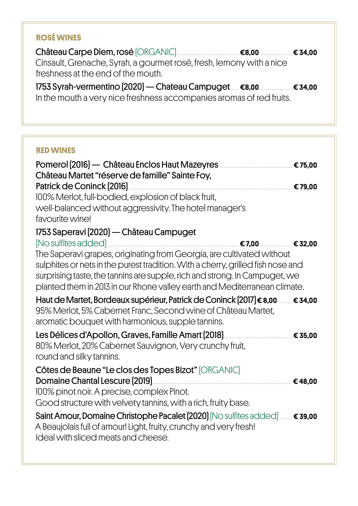### **ROSÉ WINES**

Château Carpe Diem, rosé (ORGANIC) ................................ €8,00 .................€ 34,00 Cinsault, Grenache, Syrah, a gourmet rosé, fresh, lemony with a nice freshness at the end of the mouth.

1753 Syrah-vermentino (2020) — Chateau Campuget .... €8,00 .................€ 34,00 In the mouth a very nice freshness accompanies aromas of red fruits.

| <b>RED WINES</b>                                                                                                                                                                                                                                                                                                                                                                                                                                            |
|-------------------------------------------------------------------------------------------------------------------------------------------------------------------------------------------------------------------------------------------------------------------------------------------------------------------------------------------------------------------------------------------------------------------------------------------------------------|
| Château Martet "réserve de famille" Sainte Foy,                                                                                                                                                                                                                                                                                                                                                                                                             |
|                                                                                                                                                                                                                                                                                                                                                                                                                                                             |
| 100% Merlot, full-bodied, explosion of black fruit,                                                                                                                                                                                                                                                                                                                                                                                                         |
| well-balanced without aggressivity. The hotel manager's                                                                                                                                                                                                                                                                                                                                                                                                     |
| favourite wine!                                                                                                                                                                                                                                                                                                                                                                                                                                             |
| 1753 Saperavi [2020] — Château Campuget                                                                                                                                                                                                                                                                                                                                                                                                                     |
| $[{\rm No\,sulfites\,added}]\dots\dots\dots\dots\dots\dots\dots\dots\dots\dots\dots\dots\dots\dots\dots\dots\dots\in \textbf{32,00}$<br>The Saperavi grapes, originating from Georgia, are cultivated without<br>sulphites or nets in the purest tradition. With a cherry, grilled fish nose and<br>surprising taste, the tannins are supple, rich and strong. In Campuget, we<br>planted them in 2013 in our Rhone valley earth and Mediterranean climate. |
| Haut de Martet, Bordeaux supérieur, Patrick de Coninck [2017] € 8,00  € 34,00                                                                                                                                                                                                                                                                                                                                                                               |
| 95% Merlot, 5% Cabernet Franc, Second wine of Château Martet,                                                                                                                                                                                                                                                                                                                                                                                               |
| aromatic bouquet with harmonious, supple tannins.                                                                                                                                                                                                                                                                                                                                                                                                           |
|                                                                                                                                                                                                                                                                                                                                                                                                                                                             |
| 80% Merlot, 20% Cabernet Sauvignon, Very crunchy fruit,                                                                                                                                                                                                                                                                                                                                                                                                     |
| round and silky tannins.                                                                                                                                                                                                                                                                                                                                                                                                                                    |
| Côtes de Beaune "Le clos des Topes Bizot" [ORGANIC]                                                                                                                                                                                                                                                                                                                                                                                                         |
|                                                                                                                                                                                                                                                                                                                                                                                                                                                             |
| 100% pinot noir. A precise, complex Pinot.                                                                                                                                                                                                                                                                                                                                                                                                                  |
| Good structure with velvety tannins, with a rich, fruity base.                                                                                                                                                                                                                                                                                                                                                                                              |
| Saint Amour, Domaine Christophe Pacalet [2020] [No sulfites added]  € 39,00                                                                                                                                                                                                                                                                                                                                                                                 |
| A Beaujolais full of amour! Light, fruity, crunchy and very fresh!                                                                                                                                                                                                                                                                                                                                                                                          |
| Ideal with sliced meats and cheese.                                                                                                                                                                                                                                                                                                                                                                                                                         |
|                                                                                                                                                                                                                                                                                                                                                                                                                                                             |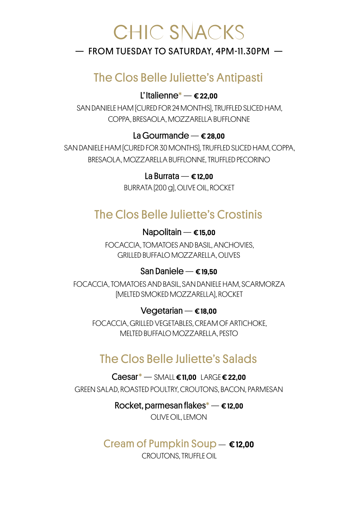# CHIC SNACKS

### $-$  FROM TUESDAY TO SATURDAY, 4PM-11.30PM  $-$

### The Clos Belle Juliette's Antipasti

### L'<sub>Italienne</sub> $\text{*} \epsilon$  22.00

SAN DANIELE HAM (CURED FOR 24 MONTHS), TRUFFLED SLICED HAM, COPPA, BRESAOLA, MOZZARELLA BUFFLONNE

### La Gourmande  $-\epsilon$  28.00

SAN DANIELE HAM (CURED FOR 30 MONTHS), TRUFFLED SLICED HAM, COPPA, BRESAOLA, MOZZARELLA BUFFLONNE, TRUFFLED PECORINO

### La Burrata —  $\epsilon$  12.00

BURRATA (200 g), OLIVE OIL, ROCKET

### The Clos Belle Juliette's Crostinis

### Napolitain  $\epsilon$  15,00

FOCACCIA, TOMATOES AND BASIL, ANCHOVIES, GRILLED BUFFALO MOZZARELLA, OLIVES

### San Daniele — € 19,50

FOCACCIA, TOMATOES AND BASIL, SAN DANIELE HAM, SCARMORZA (MELTED SMOKED MOZZARELLA), ROCKET

### $Vecatarian - \epsilon$  18,00

FOCACCIA, GRILLED VEGETABLES, CREAM OF ARTICHOKE, MELTED BUFFALO MOZZARELLA, PESTO

### The Clos Belle Juliette's Salads

 $Caesar^*$  — SMALL  $€11.00$  LARGE  $€22.00$ GREEN SALAD, ROASTED POULTRY, CROUTONS, BACON, PARMESAN

Rocket, parmesan flakes $^*$   $\epsilon$  12,00

OLIVE OIL, LEMON

### Cream of Pumpkin Soup — € 12,00

CROUTONS, TRUFFLE OIL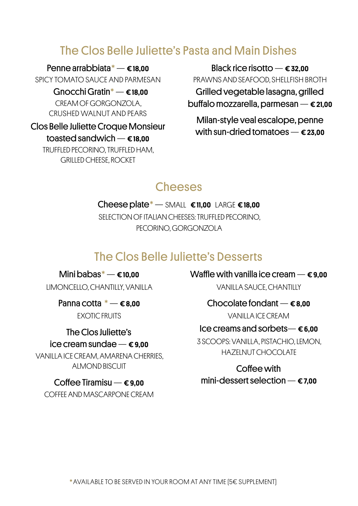### The Clos Belle Juliette's Pasta and Main Dishes

Penne arrabbiata\*— € 18,00 SPICY TOMATO SAUCE AND PARMESAN

> Gnocchi Gratin $^*$   $\epsilon$  18,00 CREAM OF GORGONZOLA, CRUSHED WALNUT AND PEARS

Clos Belle Juliette Croque Monsieur toasted sandwich — € 18,00 TRUFFLED PECORINO, TRUFFLED HAM, GRILLED CHEESE, ROCKET

Black rice risotto  $-\epsilon$  32,00 PRAWNS AND SEAFOOD, SHELLFISH BROTH Grilled vegetable lasagna, grilled buffalo mozzarella, parmesan — € 21,00

Milan-style veal escalope, penne with sun-dried tomatoes  $\epsilon$  23,00

### **Cheeses**

Cheese plate $^*$  - SMALL  $\epsilon$ 11,00 LARGE  $\epsilon$ 18,00 SELECTION OF ITALIAN CHEESES: TRUFFLED PECORINO PECORINO, GORGONZOLA

### The Clos Belle Juliette's Desserts

Mini babas $^* - \epsilon$ 10,00 LIMONCELLO, CHANTILLY, VANILLA

> Panna cotta  $^*$  —  $\epsilon$ 8.00 EXOTIC FRUITS

The Clos Juliette's ice cream sundae  $-\epsilon$  9.00

VANILLA ICE CREAM, AMARENA CHERRIES, ALMOND BISCUIT

### Coffee Tiramisu —  $\epsilon$  9,00

COFFEE AND MASCARPONE CREAM

Waffle with vanilla ice cream  $-\epsilon$  9.00 VANILLA SAUCE, CHANTILLY

Chocolate fondant  $-\epsilon$  8.00

VANILLA ICE CREAM

### Ice creams and sorbets— $\epsilon$ 6,00

3 SCOOPS: VANILLA, PISTACHIO, LEMON, HAZELNUT CHOCOLATE

Coffee with mini-dessert selection  $\epsilon$  7.00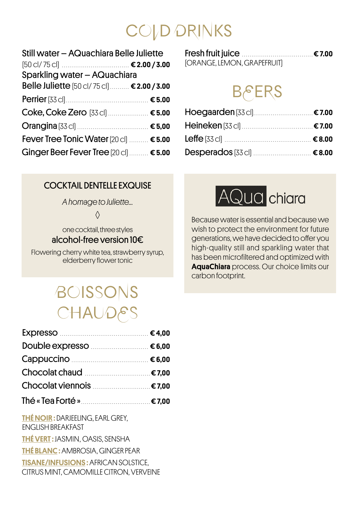# COLD DRINKS

| Still water - AQuachiara Belle Juliette      |  |
|----------------------------------------------|--|
|                                              |  |
| Sparkling water - AQuachiara                 |  |
| Belle Juliette [50 cl/ 75 cl]  € 2.00 / 3.00 |  |
|                                              |  |
| Coke, Coke Zero [33 cl]  € 5.00              |  |
|                                              |  |
| Fever Tree Tonic Water [20 cl]  € 5.00       |  |
| Ginger Beer Fever Tree [20 cl]  € 5.00       |  |

| [ORANGE, LEMON, GRAPEFRUIT] |  |
|-----------------------------|--|

# **BERS**

### COCKTAIL DENTELLE EXQUISE

*A homage to Juliette...* 

◊

one cocktail, three styles alcohol-free version 10€

Flowering cherry white tea, strawberry syrup, elderberry flower tonic

# BOISSONS **CHAUDES**

| Double expresso <b>Manual</b> 6,00      |  |
|-----------------------------------------|--|
|                                         |  |
| Chocolat chaud <u></u> €7,00            |  |
|                                         |  |
|                                         |  |
| <b>THÉ NOIR: DARJEELING, EARL GREY,</b> |  |

ENGLISH BREAKFAST THÉ VERT : JASMIN, OASIS, SENSHA THÉ BLANC : AMBROSIA, GINGER PEAR TISANE/INFUSIONS : AFRICAN SOLSTICE, CITRUS MINT, CAMOMILLE CITRON, VERVEINE



Because water is essential and because we wish to protect the environment for future generations, we have decided to offer you high-quality still and sparkling water that has been microfiltered and optimized with AquaChiara process. Our choice limits our carbon footprint.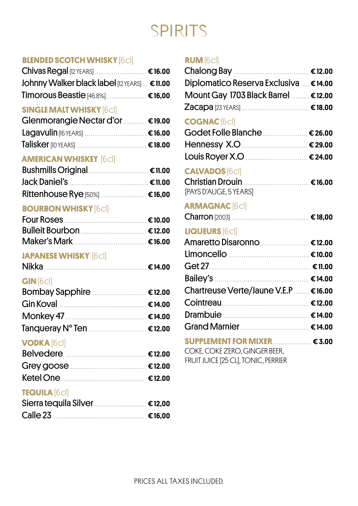# SPIRITS

### **BLENDED SCOTCH WHISKY** (6 cl)

| Chivas Regal [12 YEARS]  € 16.00             |  |
|----------------------------------------------|--|
| Johnny Walker black label [12 YEARS] € 11.00 |  |
| Timorous Beastie [46.8%] € 16,00             |  |

### **SINGLE MALT WHISKY** (6 cl)

| Glenmorangie Nectar d'or  € 19.00 |  |
|-----------------------------------|--|
|                                   |  |
|                                   |  |

### **AMERICAN WHISKEY** (6 cl)

| Bushmills Original <b>Manual</b> € 11.00            |  |
|-----------------------------------------------------|--|
| Jack Daniel's <u>Daniel's and the sense e</u> 11.00 |  |
| Rittenhouse Rye [50%]  € 16,00                      |  |

### **BOURBON WHISKY** [6**cl]**

### **JAPANESE WHISKY** (6 cl)

| Nikka |
|-------|
|-------|

### **GIN** (6 cl)

| Bombay Sapphire <b>Manual</b> €12.00 |  |
|--------------------------------------|--|
|                                      |  |
| Monkey 47 2000 € 14.00               |  |
| Tanqueray N° Ten  €12.00             |  |

### **VODKA** (6 cl)

| Belvedere <b>Manual Eleanora Ele</b> 12.00 |  |
|--------------------------------------------|--|
| Grey goose <b>Manual</b> € 12.00           |  |
|                                            |  |

### **TEQUILA** (6 cl)

| Sierra tequila Silver <b>Manual 1999</b> 12,00                                                                 |  |
|----------------------------------------------------------------------------------------------------------------|--|
| Calle 23 <u>Manuel Colle</u> 23 Colle 23 Colle 23 Colle 23 Colle 25 Development 2 Colle 25 Development 2 Colle |  |

### **RUM** (6 cl)

| Diplomatico Reserva Exclusiva  € 14.00 |  |
|----------------------------------------|--|
| Mount Gay 1703 Black Barrel  €12.00    |  |
|                                        |  |

### **COGNAC** (6 cl)

| Godet Folle Blanche <b>Manuel 1998</b> 26.00 |  |
|----------------------------------------------|--|
|                                              |  |
|                                              |  |

### **CALVADOS** (6 cl)

| [PAYS D'AUGE, 5 YEARS] |  |
|------------------------|--|

### **ARMAGNAC** [6cl]

|--|--|--|

### **LIQUEURS** (6 cl)

| Amaretto Disaronno  €12.00                                                                             |  |
|--------------------------------------------------------------------------------------------------------|--|
| Limoncello <b>Maria 1999</b> Cinco e 10.00                                                             |  |
| Get 27 2000 € 11.00                                                                                    |  |
|                                                                                                        |  |
| Chartreuse Verte/Jaune V.E.P  € 16.00                                                                  |  |
|                                                                                                        |  |
|                                                                                                        |  |
|                                                                                                        |  |
| $\text{SUPPLEMENT FOR MIXER} \qquad \qquad \text{\textsterling} 3.00$<br>COKE, COKE ZERO, GINGER BEER, |  |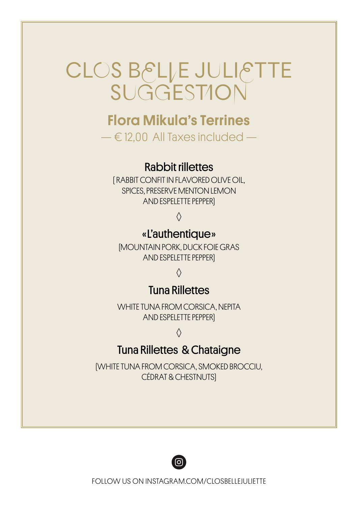# CLOS BELLE JULIETTE

## Flora Mikula's Terrines

 $-\epsilon$  12,00 All Taxes included  $-$ 

### Rabbit rillettes

( RABBIT CONFIT IN FLAVORED OLIVE OIL, SPICES, PRESERVE MENTON LEMON AND ESPELETTE PEPPER)

### ◊

### « L'authentique »

(MOUNTAIN PORK, DUCK FOIE GRAS AND ESPELETTE PEPPER)

◊

### Tuna Rillettes

WHITE TUNA FROM CORSICA, NEPITA AND ESPELETTE PEPPER)

◊

### Tuna Rillettes & Chataigne

(WHITE TUNA FROM CORSICA, SMOKED BROCCIU, CÉDRAT & CHESTNUTS)



FOLLOW US ON INSTAGRAM.COM/CLOSBELLEJULIETTE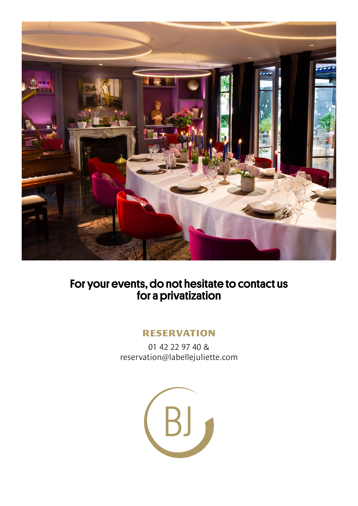

### For your events, do not hesitate to contact us for a privatization

### **RESERVATION**

01 42 22 97 40 & reservation@labellejuliette.com